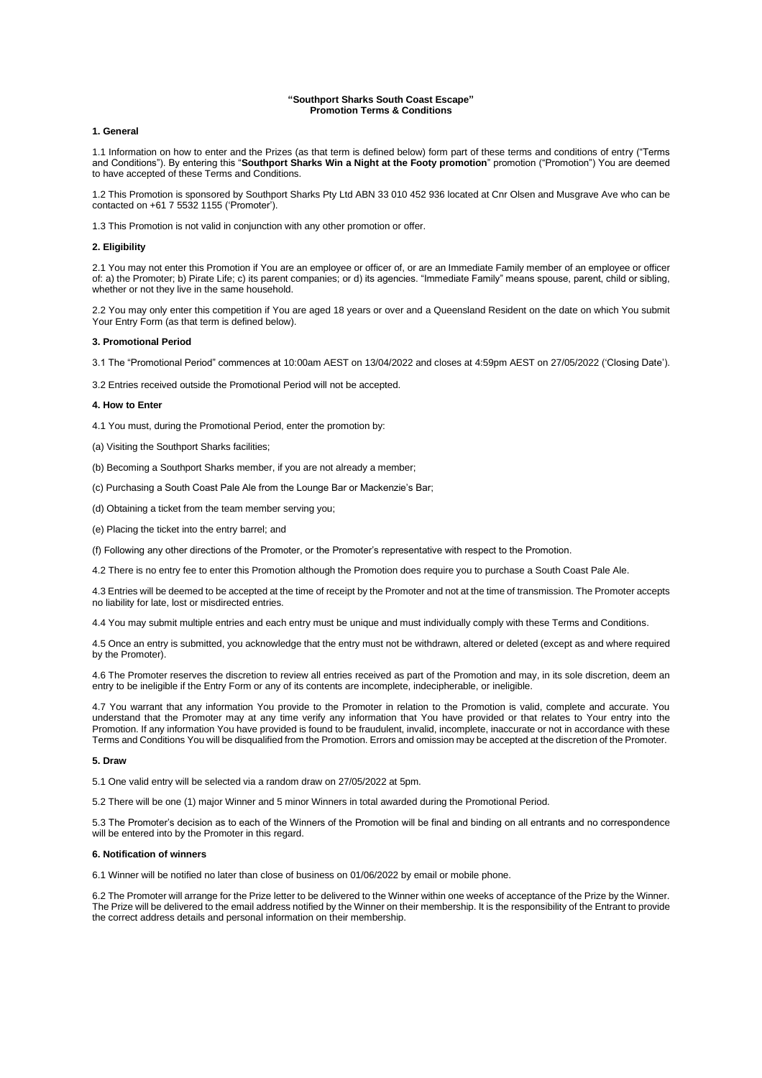#### **"Southport Sharks South Coast Escape" Promotion Terms & Conditions**

## **1. General**

1.1 Information on how to enter and the Prizes (as that term is defined below) form part of these terms and conditions of entry ("Terms and Conditions"). By entering this "**Southport Sharks Win a Night at the Footy promotion**" promotion ("Promotion") You are deemed to have accepted of these Terms and Conditions.

1.2 This Promotion is sponsored by Southport Sharks Pty Ltd ABN 33 010 452 936 located at Cnr Olsen and Musgrave Ave who can be contacted on +61 7 5532 1155 ('Promoter').

1.3 This Promotion is not valid in conjunction with any other promotion or offer.

## **2. Eligibility**

2.1 You may not enter this Promotion if You are an employee or officer of, or are an Immediate Family member of an employee or officer of: a) the Promoter; b) Pirate Life; c) its parent companies; or d) its agencies. "Immediate Family" means spouse, parent, child or sibling, whether or not they live in the same household.

2.2 You may only enter this competition if You are aged 18 years or over and a Queensland Resident on the date on which You submit Your Entry Form (as that term is defined below).

#### **3. Promotional Period**

3.1 The "Promotional Period" commences at 10:00am AEST on 13/04/2022 and closes at 4:59pm AEST on 27/05/2022 ('Closing Date').

3.2 Entries received outside the Promotional Period will not be accepted.

## **4. How to Enter**

4.1 You must, during the Promotional Period, enter the promotion by:

- (a) Visiting the Southport Sharks facilities;
- (b) Becoming a Southport Sharks member, if you are not already a member;
- (c) Purchasing a South Coast Pale Ale from the Lounge Bar or Mackenzie's Bar;
- (d) Obtaining a ticket from the team member serving you;
- (e) Placing the ticket into the entry barrel; and
- (f) Following any other directions of the Promoter, or the Promoter's representative with respect to the Promotion.

4.2 There is no entry fee to enter this Promotion although the Promotion does require you to purchase a South Coast Pale Ale.

4.3 Entries will be deemed to be accepted at the time of receipt by the Promoter and not at the time of transmission. The Promoter accepts no liability for late, lost or misdirected entries.

4.4 You may submit multiple entries and each entry must be unique and must individually comply with these Terms and Conditions.

4.5 Once an entry is submitted, you acknowledge that the entry must not be withdrawn, altered or deleted (except as and where required by the Promoter).

4.6 The Promoter reserves the discretion to review all entries received as part of the Promotion and may, in its sole discretion, deem an entry to be ineligible if the Entry Form or any of its contents are incomplete, indecipherable, or ineligible.

4.7 You warrant that any information You provide to the Promoter in relation to the Promotion is valid, complete and accurate. You understand that the Promoter may at any time verify any information that You have provided or that relates to Your entry into the Promotion. If any information You have provided is found to be fraudulent, invalid, incomplete, inaccurate or not in accordance with these Terms and Conditions You will be disqualified from the Promotion. Errors and omission may be accepted at the discretion of the Promoter.

# **5. Draw**

5.1 One valid entry will be selected via a random draw on 27/05/2022 at 5pm.

5.2 There will be one (1) major Winner and 5 minor Winners in total awarded during the Promotional Period.

5.3 The Promoter's decision as to each of the Winners of the Promotion will be final and binding on all entrants and no correspondence will be entered into by the Promoter in this regard.

#### **6. Notification of winners**

6.1 Winner will be notified no later than close of business on 01/06/2022 by email or mobile phone.

6.2 The Promoter will arrange for the Prize letter to be delivered to the Winner within one weeks of acceptance of the Prize by the Winner. The Prize will be delivered to the email address notified by the Winner on their membership. It is the responsibility of the Entrant to provide the correct address details and personal information on their membership.